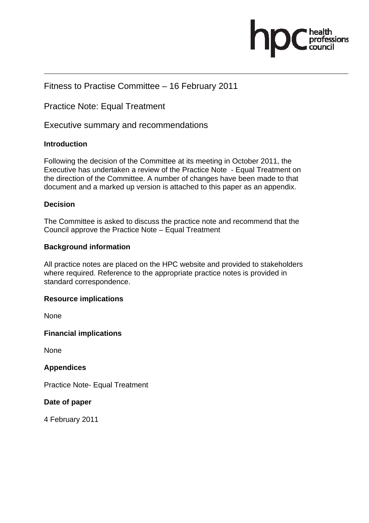

## Fitness to Practise Committee – 16 February 2011

Practice Note: Equal Treatment

Executive summary and recommendations

#### **Introduction**

Following the decision of the Committee at its meeting in October 2011, the Executive has undertaken a review of the Practice Note - Equal Treatment on the direction of the Committee. A number of changes have been made to that document and a marked up version is attached to this paper as an appendix.

#### **Decision**

The Committee is asked to discuss the practice note and recommend that the Council approve the Practice Note – Equal Treatment

#### **Background information**

All practice notes are placed on the HPC website and provided to stakeholders where required. Reference to the appropriate practice notes is provided in standard correspondence.

#### **Resource implications**

None

**Financial implications** 

None

**Appendices** 

Practice Note- Equal Treatment

**Date of paper** 

4 February 2011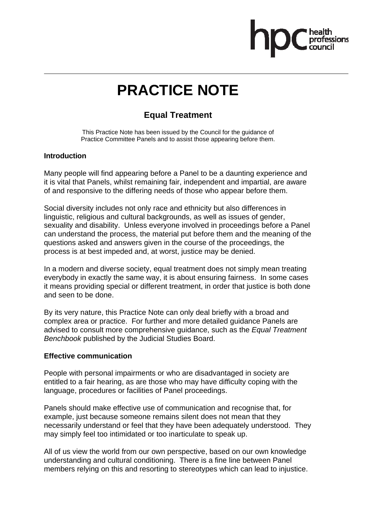

# **PRACTICE NOTE**

# **Equal Treatment**

This Practice Note has been issued by the Council for the guidance of Practice Committee Panels and to assist those appearing before them.

#### **Introduction**

Many people will find appearing before a Panel to be a daunting experience and it is vital that Panels, whilst remaining fair, independent and impartial, are aware of and responsive to the differing needs of those who appear before them.

Social diversity includes not only race and ethnicity but also differences in linguistic, religious and cultural backgrounds, as well as issues of gender, sexuality and disability. Unless everyone involved in proceedings before a Panel can understand the process, the material put before them and the meaning of the questions asked and answers given in the course of the proceedings, the process is at best impeded and, at worst, justice may be denied.

In a modern and diverse society, equal treatment does not simply mean treating everybody in exactly the same way, it is about ensuring fairness. In some cases it means providing special or different treatment, in order that justice is both done and seen to be done.

By its very nature, this Practice Note can only deal briefly with a broad and complex area or practice. For further and more detailed guidance Panels are advised to consult more comprehensive guidance, such as the *Equal Treatment Benchbook* published by the Judicial Studies Board.

#### **Effective communication**

People with personal impairments or who are disadvantaged in society are entitled to a fair hearing, as are those who may have difficulty coping with the language, procedures or facilities of Panel proceedings.

Panels should make effective use of communication and recognise that, for example, just because someone remains silent does not mean that they necessarily understand or feel that they have been adequately understood. They may simply feel too intimidated or too inarticulate to speak up.

All of us view the world from our own perspective, based on our own knowledge understanding and cultural conditioning. There is a fine line between Panel members relying on this and resorting to stereotypes which can lead to injustice.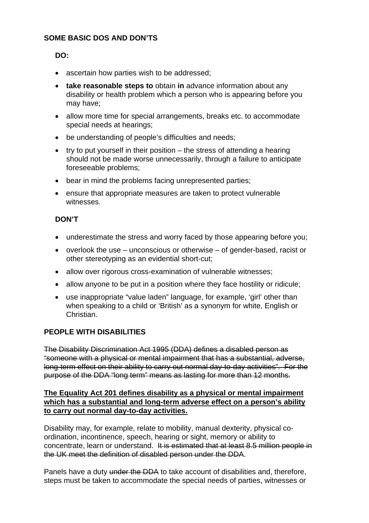#### **SOME BASIC DOS AND DON'TS**

#### **DO:**

- ascertain how parties wish to be addressed:
- **take reasonable steps to** obtain **in** advance information about any disability or health problem which a person who is appearing before you may have;
- allow more time for special arrangements, breaks etc. to accommodate special needs at hearings;
- be understanding of people's difficulties and needs;
- try to put yourself in their position the stress of attending a hearing should not be made worse unnecessarily, through a failure to anticipate foreseeable problems;
- bear in mind the problems facing unrepresented parties;
- ensure that appropriate measures are taken to protect vulnerable witnesses.

#### **DON'T**

- underestimate the stress and worry faced by those appearing before you;
- overlook the use unconscious or otherwise of gender-based, racist or other stereotyping as an evidential short-cut;
- allow over rigorous cross-examination of vulnerable witnesses:
- allow anyone to be put in a position where they face hostility or ridicule;
- use inappropriate "value laden" language, for example, 'girl' other than when speaking to a child or 'British' as a synonym for white, English or Christian.

#### **PEOPLE WITH DISABILITIES**

The Disability Discrimination Act 1995 (DDA) defines a disabled person as "someone with a physical or mental impairment that has a substantial, adverse, long-term effect on their ability to carry out normal day-to-day activities". For the purpose of the DDA "long term" means as lasting for more than 12 months.

#### **The Equality Act 201 defines disability as a physical or mental impairment which has a substantial and long-term adverse effect on a person's ability to carry out normal day-to-day activities.**

Disability may, for example, relate to mobility, manual dexterity, physical coordination, incontinence, speech, hearing or sight, memory or ability to concentrate, learn or understand. It is estimated that at least 8.5 million people in the UK meet the definition of disabled person under the DDA.

Panels have a duty under the DDA to take account of disabilities and, therefore, steps must be taken to accommodate the special needs of parties, witnesses or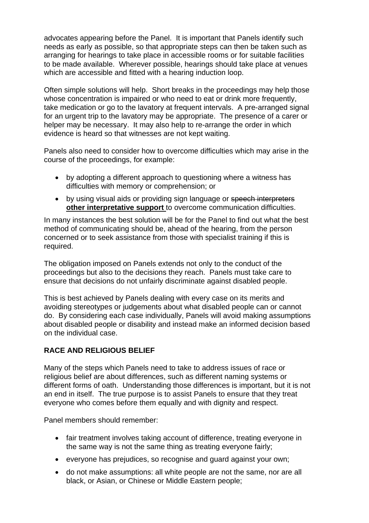advocates appearing before the Panel. It is important that Panels identify such needs as early as possible, so that appropriate steps can then be taken such as arranging for hearings to take place in accessible rooms or for suitable facilities to be made available. Wherever possible, hearings should take place at venues which are accessible and fitted with a hearing induction loop.

Often simple solutions will help. Short breaks in the proceedings may help those whose concentration is impaired or who need to eat or drink more frequently, take medication or go to the lavatory at frequent intervals. A pre-arranged signal for an urgent trip to the lavatory may be appropriate. The presence of a carer or helper may be necessary. It may also help to re-arrange the order in which evidence is heard so that witnesses are not kept waiting.

Panels also need to consider how to overcome difficulties which may arise in the course of the proceedings, for example:

- by adopting a different approach to questioning where a witness has difficulties with memory or comprehension; or
- by using visual aids or providing sign language or speech interpreters **other interpretative support** to overcome communication difficulties.

In many instances the best solution will be for the Panel to find out what the best method of communicating should be, ahead of the hearing, from the person concerned or to seek assistance from those with specialist training if this is required.

The obligation imposed on Panels extends not only to the conduct of the proceedings but also to the decisions they reach. Panels must take care to ensure that decisions do not unfairly discriminate against disabled people.

This is best achieved by Panels dealing with every case on its merits and avoiding stereotypes or judgements about what disabled people can or cannot do. By considering each case individually, Panels will avoid making assumptions about disabled people or disability and instead make an informed decision based on the individual case.

#### **RACE AND RELIGIOUS BELIEF**

Many of the steps which Panels need to take to address issues of race or religious belief are about differences, such as different naming systems or different forms of oath. Understanding those differences is important, but it is not an end in itself. The true purpose is to assist Panels to ensure that they treat everyone who comes before them equally and with dignity and respect.

Panel members should remember:

- fair treatment involves taking account of difference, treating everyone in the same way is not the same thing as treating everyone fairly;
- everyone has prejudices, so recognise and guard against your own;
- do not make assumptions: all white people are not the same, nor are all black, or Asian, or Chinese or Middle Eastern people;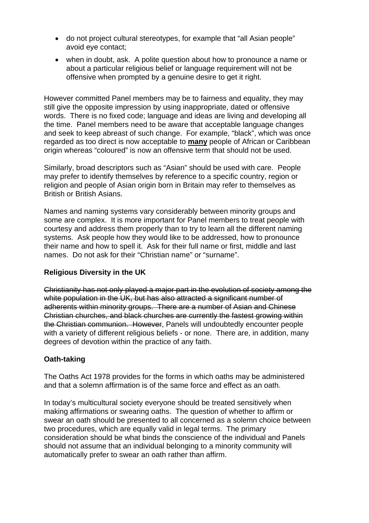- do not project cultural stereotypes, for example that "all Asian people" avoid eye contact;
- when in doubt, ask. A polite question about how to pronounce a name or about a particular religious belief or language requirement will not be offensive when prompted by a genuine desire to get it right.

However committed Panel members may be to fairness and equality, they may still give the opposite impression by using inappropriate, dated or offensive words. There is no fixed code; language and ideas are living and developing all the time. Panel members need to be aware that acceptable language changes and seek to keep abreast of such change. For example, "black", which was once regarded as too direct is now acceptable to **many** people of African or Caribbean origin whereas "coloured" is now an offensive term that should not be used.

Similarly, broad descriptors such as "Asian" should be used with care. People may prefer to identify themselves by reference to a specific country, region or religion and people of Asian origin born in Britain may refer to themselves as British or British Asians.

Names and naming systems vary considerably between minority groups and some are complex. It is more important for Panel members to treat people with courtesy and address them properly than to try to learn all the different naming systems. Ask people how they would like to be addressed, how to pronounce their name and how to spell it. Ask for their full name or first, middle and last names. Do not ask for their "Christian name" or "surname".

#### **Religious Diversity in the UK**

Christianity has not only played a major part in the evolution of society among the white population in the UK, but has also attracted a significant number of adherents within minority groups. There are a number of Asian and Chinese Christian churches, and black churches are currently the fastest growing within the Christian communion. However, Panels will undoubtedly encounter people with a variety of different religious beliefs - or none. There are, in addition, many degrees of devotion within the practice of any faith.

#### **Oath-taking**

The Oaths Act 1978 provides for the forms in which oaths may be administered and that a solemn affirmation is of the same force and effect as an oath.

In today's multicultural society everyone should be treated sensitively when making affirmations or swearing oaths. The question of whether to affirm or swear an oath should be presented to all concerned as a solemn choice between two procedures, which are equally valid in legal terms. The primary consideration should be what binds the conscience of the individual and Panels should not assume that an individual belonging to a minority community will automatically prefer to swear an oath rather than affirm.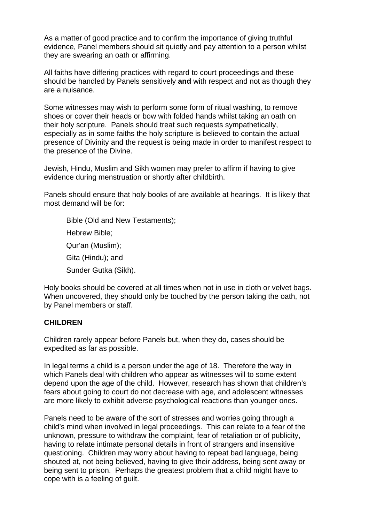As a matter of good practice and to confirm the importance of giving truthful evidence, Panel members should sit quietly and pay attention to a person whilst they are swearing an oath or affirming.

All faiths have differing practices with regard to court proceedings and these should be handled by Panels sensitively **and** with respect and not as though they are a nuisance.

Some witnesses may wish to perform some form of ritual washing, to remove shoes or cover their heads or bow with folded hands whilst taking an oath on their holy scripture. Panels should treat such requests sympathetically, especially as in some faiths the holy scripture is believed to contain the actual presence of Divinity and the request is being made in order to manifest respect to the presence of the Divine.

Jewish, Hindu, Muslim and Sikh women may prefer to affirm if having to give evidence during menstruation or shortly after childbirth.

Panels should ensure that holy books of are available at hearings. It is likely that most demand will be for:

Bible (Old and New Testaments); Hebrew Bible; Qur'an (Muslim); Gita (Hindu); and Sunder Gutka (Sikh).

Holy books should be covered at all times when not in use in cloth or velvet bags. When uncovered, they should only be touched by the person taking the oath, not by Panel members or staff.

#### **CHILDREN**

Children rarely appear before Panels but, when they do, cases should be expedited as far as possible.

In legal terms a child is a person under the age of 18. Therefore the way in which Panels deal with children who appear as witnesses will to some extent depend upon the age of the child. However, research has shown that children's fears about going to court do not decrease with age, and adolescent witnesses are more likely to exhibit adverse psychological reactions than younger ones.

Panels need to be aware of the sort of stresses and worries going through a child's mind when involved in legal proceedings. This can relate to a fear of the unknown, pressure to withdraw the complaint, fear of retaliation or of publicity, having to relate intimate personal details in front of strangers and insensitive questioning. Children may worry about having to repeat bad language, being shouted at, not being believed, having to give their address, being sent away or being sent to prison. Perhaps the greatest problem that a child might have to cope with is a feeling of guilt.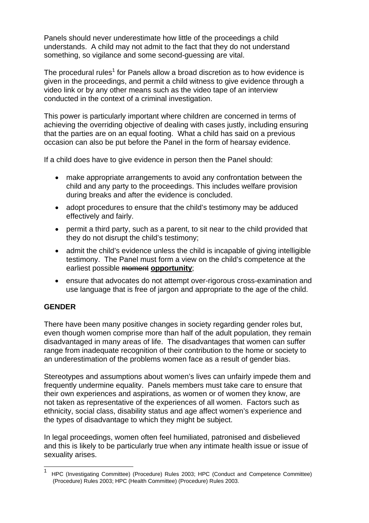Panels should never underestimate how little of the proceedings a child understands. A child may not admit to the fact that they do not understand something, so vigilance and some second-guessing are vital.

The procedural rules<sup>1</sup> for Panels allow a broad discretion as to how evidence is given in the proceedings, and permit a child witness to give evidence through a video link or by any other means such as the video tape of an interview conducted in the context of a criminal investigation.

This power is particularly important where children are concerned in terms of achieving the overriding objective of dealing with cases justly, including ensuring that the parties are on an equal footing. What a child has said on a previous occasion can also be put before the Panel in the form of hearsay evidence.

If a child does have to give evidence in person then the Panel should:

- make appropriate arrangements to avoid any confrontation between the child and any party to the proceedings. This includes welfare provision during breaks and after the evidence is concluded.
- adopt procedures to ensure that the child's testimony may be adduced effectively and fairly.
- permit a third party, such as a parent, to sit near to the child provided that they do not disrupt the child's testimony;
- admit the child's evidence unless the child is incapable of giving intelligible testimony. The Panel must form a view on the child's competence at the earliest possible moment **opportunity**;
- ensure that advocates do not attempt over-rigorous cross-examination and use language that is free of jargon and appropriate to the age of the child.

### **GENDER**

 $\overline{a}$ 

There have been many positive changes in society regarding gender roles but, even though women comprise more than half of the adult population, they remain disadvantaged in many areas of life. The disadvantages that women can suffer range from inadequate recognition of their contribution to the home or society to an underestimation of the problems women face as a result of gender bias.

Stereotypes and assumptions about women's lives can unfairly impede them and frequently undermine equality. Panels members must take care to ensure that their own experiences and aspirations, as women or of women they know, are not taken as representative of the experiences of all women. Factors such as ethnicity, social class, disability status and age affect women's experience and the types of disadvantage to which they might be subject.

In legal proceedings, women often feel humiliated, patronised and disbelieved and this is likely to be particularly true when any intimate health issue or issue of sexuality arises.

<sup>1</sup> HPC (Investigating Committee) (Procedure) Rules 2003; HPC (Conduct and Competence Committee) (Procedure) Rules 2003; HPC (Health Committee) (Procedure) Rules 2003.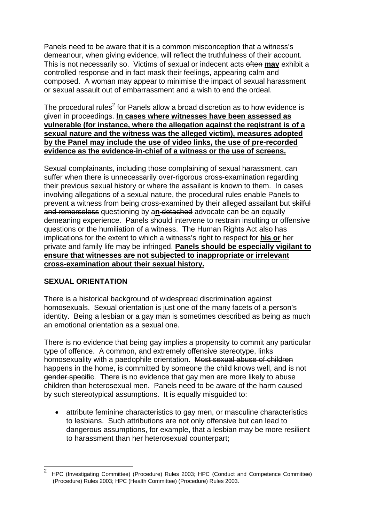Panels need to be aware that it is a common misconception that a witness's demeanour, when giving evidence, will reflect the truthfulness of their account. This is not necessarily so. Victims of sexual or indecent acts often **may** exhibit a controlled response and in fact mask their feelings, appearing calm and composed. A woman may appear to minimise the impact of sexual harassment or sexual assault out of embarrassment and a wish to end the ordeal.

The procedural rules<sup>2</sup> for Panels allow a broad discretion as to how evidence is given in proceedings. **In cases where witnesses have been assessed as vulnerable (for instance, where the allegation against the registrant is of a sexual nature and the witness was the alleged victim), measures adopted by the Panel may include the use of video links, the use of pre-recorded evidence as the evidence-in-chief of a witness or the use of screens.**

Sexual complainants, including those complaining of sexual harassment, can suffer when there is unnecessarily over-rigorous cross-examination regarding their previous sexual history or where the assailant is known to them. In cases involving allegations of a sexual nature, the procedural rules enable Panels to prevent a witness from being cross-examined by their alleged assailant but skilful and remorseless questioning by a**n** detached advocate can be an equally demeaning experience. Panels should intervene to restrain insulting or offensive questions or the humiliation of a witness. The Human Rights Act also has implications for the extent to which a witness's right to respect for **his or** her private and family life may be infringed. **Panels should be especially vigilant to ensure that witnesses are not subjected to inappropriate or irrelevant cross-examination about their sexual history.** 

#### **SEXUAL ORIENTATION**

 $\overline{a}$ 

There is a historical background of widespread discrimination against homosexuals. Sexual orientation is just one of the many facets of a person's identity. Being a lesbian or a gay man is sometimes described as being as much an emotional orientation as a sexual one.

There is no evidence that being gay implies a propensity to commit any particular type of offence. A common, and extremely offensive stereotype, links homosexuality with a paedophile orientation. Most sexual abuse of children happens in the home, is committed by someone the child knows well, and is not gender specific. There is no evidence that gay men are more likely to abuse children than heterosexual men. Panels need to be aware of the harm caused by such stereotypical assumptions. It is equally misguided to:

• attribute feminine characteristics to gay men, or masculine characteristics to lesbians. Such attributions are not only offensive but can lead to dangerous assumptions, for example, that a lesbian may be more resilient to harassment than her heterosexual counterpart;

<sup>2</sup> HPC (Investigating Committee) (Procedure) Rules 2003; HPC (Conduct and Competence Committee) (Procedure) Rules 2003; HPC (Health Committee) (Procedure) Rules 2003.